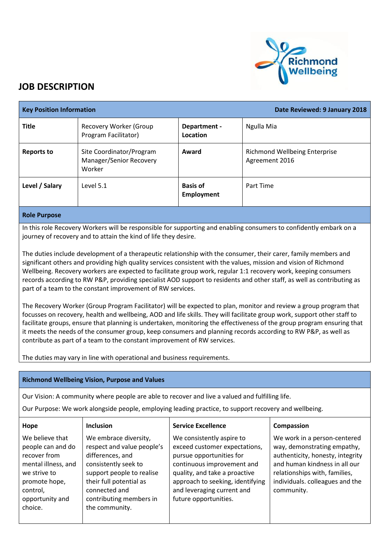

## **JOB DESCRIPTION**

| <b>Key Position Information</b> |                                                               |                                      | Date Reviewed: 9 January 2018                          |
|---------------------------------|---------------------------------------------------------------|--------------------------------------|--------------------------------------------------------|
| <b>Title</b>                    | Recovery Worker (Group<br>Program Facilitator)                | Department -<br>Location             | Ngulla Mia                                             |
| <b>Reports to</b>               | Site Coordinator/Program<br>Manager/Senior Recovery<br>Worker | Award                                | <b>Richmond Wellbeing Enterprise</b><br>Agreement 2016 |
| Level / Salary                  | Level 5.1                                                     | <b>Basis of</b><br><b>Employment</b> | Part Time                                              |

## **Role Purpose**

In this role Recovery Workers will be responsible for supporting and enabling consumers to confidently embark on a journey of recovery and to attain the kind of life they desire.

The duties include development of a therapeutic relationship with the consumer, their carer, family members and significant others and providing high quality services consistent with the values, mission and vision of Richmond Wellbeing. Recovery workers are expected to facilitate group work, regular 1:1 recovery work, keeping consumers records according to RW P&P, providing specialist AOD support to residents and other staff, as well as contributing as part of a team to the constant improvement of RW services.

The Recovery Worker (Group Program Facilitator) will be expected to plan, monitor and review a group program that focusses on recovery, health and wellbeing, AOD and life skills. They will facilitate group work, support other staff to facilitate groups, ensure that planning is undertaken, monitoring the effectiveness of the group program ensuring that it meets the needs of the consumer group, keep consumers and planning records according to RW P&P, as well as contribute as part of a team to the constant improvement of RW services.

The duties may vary in line with operational and business requirements.

## **Richmond Wellbeing Vision, Purpose and Values**

Our Vision: A community where people are able to recover and live a valued and fulfilling life.

Our Purpose: We work alongside people, employing leading practice, to support recovery and wellbeing.

| Hope                                                                                                                                                   | <b>Inclusion</b>                                                                                                                                                                                                      | <b>Service Excellence</b>                                                                                                                                                                                                                        | Compassion                                                                                                                                                                                                         |
|--------------------------------------------------------------------------------------------------------------------------------------------------------|-----------------------------------------------------------------------------------------------------------------------------------------------------------------------------------------------------------------------|--------------------------------------------------------------------------------------------------------------------------------------------------------------------------------------------------------------------------------------------------|--------------------------------------------------------------------------------------------------------------------------------------------------------------------------------------------------------------------|
| We believe that<br>people can and do<br>recover from<br>mental illness, and<br>we strive to<br>promote hope,<br>control,<br>opportunity and<br>choice. | We embrace diversity,<br>respect and value people's<br>differences, and<br>consistently seek to<br>support people to realise<br>their full potential as<br>connected and<br>contributing members in<br>the community. | We consistently aspire to<br>exceed customer expectations,<br>pursue opportunities for<br>continuous improvement and<br>quality, and take a proactive<br>approach to seeking, identifying<br>and leveraging current and<br>future opportunities. | We work in a person-centered<br>way, demonstrating empathy,<br>authenticity, honesty, integrity<br>and human kindness in all our<br>relationships with, families,<br>individuals. colleagues and the<br>community. |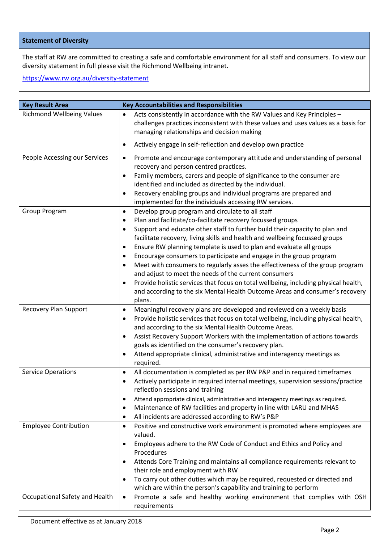## **Statement of Diversity**

The staff at RW are committed to creating a safe and comfortable environment for all staff and consumers. To view our diversity statement in full please visit the Richmond Wellbeing intranet.

<https://www.rw.org.au/diversity-statement>

| <b>Key Result Area</b>           | <b>Key Accountabilities and Responsibilities</b>                                                                                                                                                                                                                                                                                                                                                                                                                                                                                                                                                                                                                                                                                                                                                                                                |
|----------------------------------|-------------------------------------------------------------------------------------------------------------------------------------------------------------------------------------------------------------------------------------------------------------------------------------------------------------------------------------------------------------------------------------------------------------------------------------------------------------------------------------------------------------------------------------------------------------------------------------------------------------------------------------------------------------------------------------------------------------------------------------------------------------------------------------------------------------------------------------------------|
| <b>Richmond Wellbeing Values</b> | Acts consistently in accordance with the RW Values and Key Principles -<br>$\bullet$<br>challenges practices inconsistent with these values and uses values as a basis for<br>managing relationships and decision making                                                                                                                                                                                                                                                                                                                                                                                                                                                                                                                                                                                                                        |
|                                  | Actively engage in self-reflection and develop own practice<br>٠                                                                                                                                                                                                                                                                                                                                                                                                                                                                                                                                                                                                                                                                                                                                                                                |
| People Accessing our Services    | Promote and encourage contemporary attitude and understanding of personal<br>$\bullet$<br>recovery and person centred practices.<br>Family members, carers and people of significance to the consumer are<br>$\bullet$<br>identified and included as directed by the individual.<br>Recovery enabling groups and individual programs are prepared and<br>$\bullet$<br>implemented for the individuals accessing RW services.                                                                                                                                                                                                                                                                                                                                                                                                                    |
| Group Program                    | Develop group program and circulate to all staff<br>$\bullet$<br>Plan and facilitate/co-facilitate recovery focussed groups<br>$\bullet$<br>Support and educate other staff to further build their capacity to plan and<br>$\bullet$<br>facilitate recovery, living skills and health and wellbeing focussed groups<br>Ensure RW planning template is used to plan and evaluate all groups<br>$\bullet$<br>Encourage consumers to participate and engage in the group program<br>$\bullet$<br>Meet with consumers to regularly asses the effectiveness of the group program<br>$\bullet$<br>and adjust to meet the needs of the current consumers<br>Provide holistic services that focus on total wellbeing, including physical health,<br>$\bullet$<br>and according to the six Mental Health Outcome Areas and consumer's recovery<br>plans. |
| <b>Recovery Plan Support</b>     | Meaningful recovery plans are developed and reviewed on a weekly basis<br>$\bullet$<br>Provide holistic services that focus on total wellbeing, including physical health,<br>$\bullet$<br>and according to the six Mental Health Outcome Areas.<br>Assist Recovery Support Workers with the implementation of actions towards<br>$\bullet$<br>goals as identified on the consumer's recovery plan.<br>Attend appropriate clinical, administrative and interagency meetings as<br>٠<br>required.                                                                                                                                                                                                                                                                                                                                                |
| <b>Service Operations</b>        | All documentation is completed as per RW P&P and in required timeframes<br>$\bullet$<br>Actively participate in required internal meetings, supervision sessions/practice<br>٠<br>reflection sessions and training<br>Attend appropriate clinical, administrative and interagency meetings as required.<br>٠<br>Maintenance of RW facilities and property in line with LARU and MHAS<br>٠<br>All incidents are addressed according to RW's P&P<br>٠                                                                                                                                                                                                                                                                                                                                                                                             |
| <b>Employee Contribution</b>     | Positive and constructive work environment is promoted where employees are<br>$\bullet$<br>valued.<br>Employees adhere to the RW Code of Conduct and Ethics and Policy and<br>$\bullet$<br>Procedures<br>Attends Core Training and maintains all compliance requirements relevant to<br>٠<br>their role and employment with RW<br>To carry out other duties which may be required, requested or directed and<br>$\bullet$                                                                                                                                                                                                                                                                                                                                                                                                                       |
| Occupational Safety and Health   | which are within the person's capability and training to perform<br>Promote a safe and healthy working environment that complies with OSH<br>$\bullet$<br>requirements                                                                                                                                                                                                                                                                                                                                                                                                                                                                                                                                                                                                                                                                          |